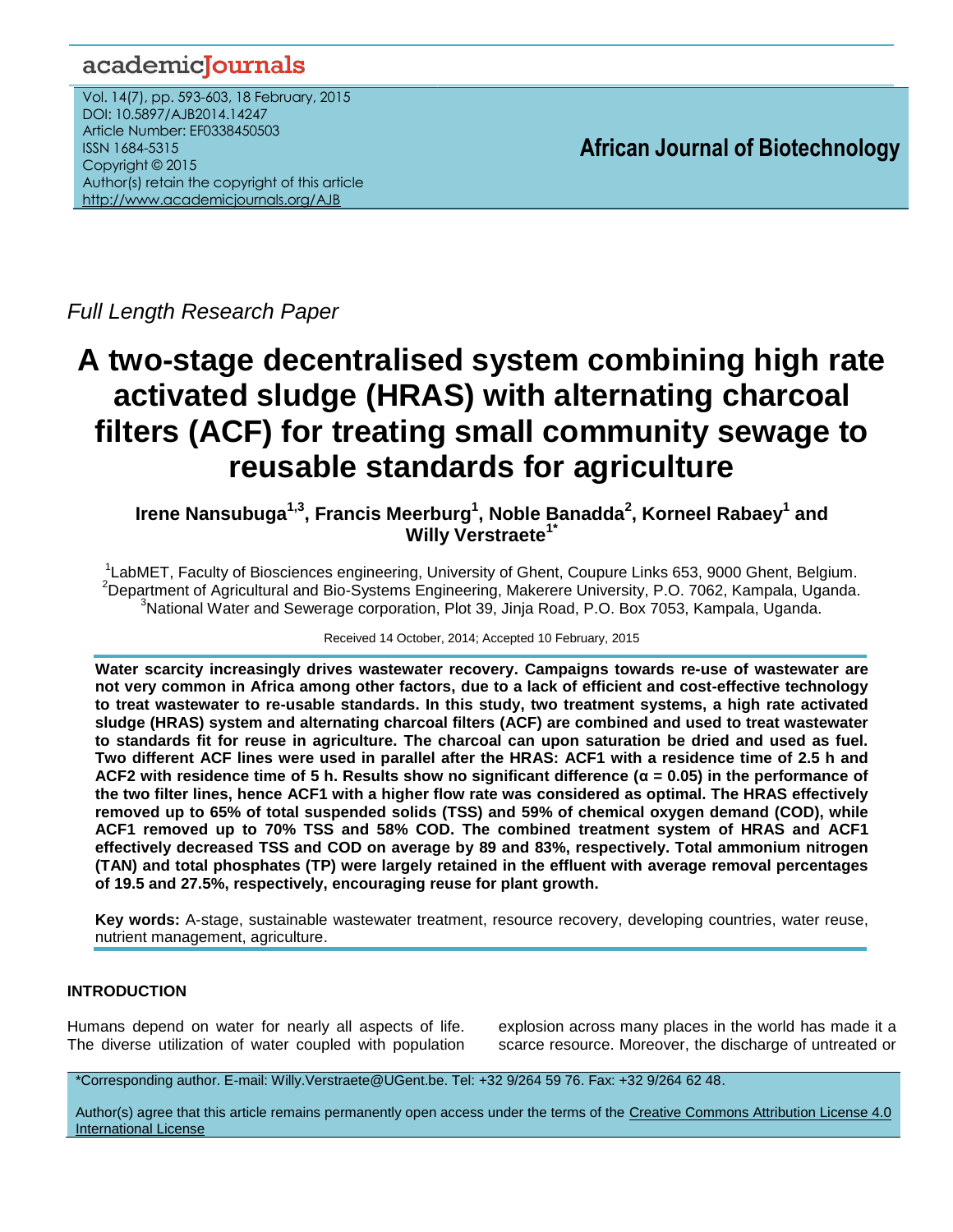# academicJournals

Vol. 14(7), pp. 593-603, 18 February, 2015 DOI: 10.5897/AJB2014.14247 Article Number: EF0338450503 ISSN 1684-5315 Copyright © 2015 Author(s) retain the copyright of this article <http://www.academicjournals.org/AJB>

**African Journal of Biotechnology**

*Full Length Research Paper*

# **A two-stage decentralised system combining high rate activated sludge (HRAS) with alternating charcoal filters (ACF) for treating small community sewage to reusable standards for agriculture**

**Irene Nansubuga1,3, Francis Meerburg<sup>1</sup> , Noble Banadda<sup>2</sup> , Korneel Rabaey<sup>1</sup> and Willy Verstraete1\***

<sup>1</sup>LabMET, Faculty of Biosciences engineering, University of Ghent, Coupure Links 653, 9000 Ghent, Belgium. <sup>2</sup>Department of Agricultural and Bio-Systems Engineering, Makerere University, P.O. 7062, Kampala, Uganda. <sup>3</sup>National Water and Sewerage corporation, Plot 39, Jinja Road, P.O. Box 7053, Kampala, Uganda.

Received 14 October, 2014; Accepted 10 February, 2015

**Water scarcity increasingly drives wastewater recovery. Campaigns towards re-use of wastewater are not very common in Africa among other factors, due to a lack of efficient and cost-effective technology to treat wastewater to re-usable standards. In this study, two treatment systems, a high rate activated sludge (HRAS) system and alternating charcoal filters (ACF) are combined and used to treat wastewater to standards fit for reuse in agriculture. The charcoal can upon saturation be dried and used as fuel. Two different ACF lines were used in parallel after the HRAS: ACF1 with a residence time of 2.5 h and ACF2 with residence time of 5 h. Results show no significant difference (α = 0.05) in the performance of the two filter lines, hence ACF1 with a higher flow rate was considered as optimal. The HRAS effectively removed up to 65% of total suspended solids (TSS) and 59% of chemical oxygen demand (COD), while ACF1 removed up to 70% TSS and 58% COD. The combined treatment system of HRAS and ACF1 effectively decreased TSS and COD on average by 89 and 83%, respectively. Total ammonium nitrogen (TAN) and total phosphates (TP) were largely retained in the effluent with average removal percentages of 19.5 and 27.5%, respectively, encouraging reuse for plant growth.** 

**Key words:** A-stage, sustainable wastewater treatment, resource recovery, developing countries, water reuse, nutrient management, agriculture.

# **INTRODUCTION**

Humans depend on water for nearly all aspects of life. The diverse utilization of water coupled with population explosion across many places in the world has made it a scarce resource. Moreover, the discharge of untreated or

\*Corresponding author. E-mail: Willy.Verstraete@UGent.be. Tel: +32 9/264 59 76. Fax: +32 9/264 62 48.

Author(s) agree that this article remains permanently open access under the terms of the Creative Commons Attribution License 4.0 [International License](http://creativecommons.org/licenses/by/4.0/deed.en_US)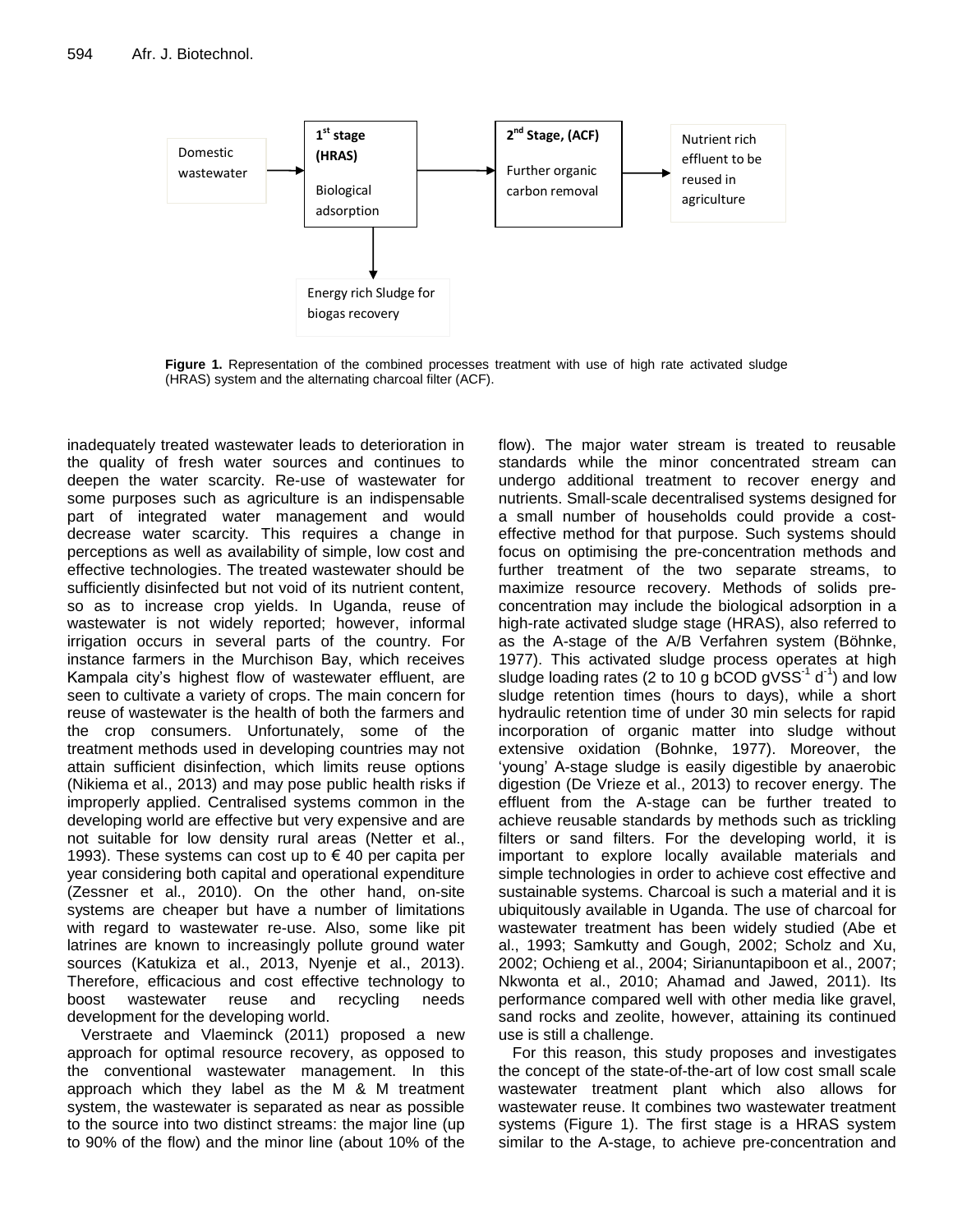

**Figure 1.** Representation of the combined processes treatment with use of high rate activated sludge (HRAS) system and the alternating charcoal filter (ACF).

inadequately treated wastewater leads to deterioration in the quality of fresh water sources and continues to deepen the water scarcity. Re-use of wastewater for some purposes such as agriculture is an indispensable part of integrated water management and would decrease water scarcity. This requires a change in perceptions as well as availability of simple, low cost and effective technologies. The treated wastewater should be sufficiently disinfected but not void of its nutrient content, so as to increase crop yields. In Uganda, reuse of wastewater is not widely reported; however, informal irrigation occurs in several parts of the country. For instance farmers in the Murchison Bay, which receives Kampala city's highest flow of wastewater effluent, are seen to cultivate a variety of crops. The main concern for reuse of wastewater is the health of both the farmers and the crop consumers. Unfortunately, some of the treatment methods used in developing countries may not attain sufficient disinfection, which limits reuse options (Nikiema et al., 2013) and may pose public health risks if improperly applied. Centralised systems common in the developing world are effective but very expensive and are not suitable for low density rural areas (Netter et al., 1993). These systems can cost up to  $\epsilon$  40 per capita per year considering both capital and operational expenditure (Zessner et al., 2010). On the other hand, on-site systems are cheaper but have a number of limitations with regard to wastewater re-use. Also, some like pit latrines are known to increasingly pollute ground water sources (Katukiza et al., 2013, Nyenje et al., 2013). Therefore, efficacious and cost effective technology to boost wastewater reuse and recycling needs development for the developing world.

Verstraete and Vlaeminck (2011) proposed a new approach for optimal resource recovery, as opposed to the conventional wastewater management. In this approach which they label as the M & M treatment system, the wastewater is separated as near as possible to the source into two distinct streams: the major line (up to 90% of the flow) and the minor line (about 10% of the flow). The major water stream is treated to reusable standards while the minor concentrated stream can undergo additional treatment to recover energy and nutrients. Small-scale decentralised systems designed for a small number of households could provide a costeffective method for that purpose. Such systems should focus on optimising the pre-concentration methods and further treatment of the two separate streams, to maximize resource recovery. Methods of solids preconcentration may include the biological adsorption in a high-rate activated sludge stage (HRAS), also referred to as the A-stage of the A/B Verfahren system (Böhnke, 1977). This activated sludge process operates at high sludge loading rates (2 to 10 g bCOD gVSS $^{-1}$  d $^{-1}$ ) and low sludge retention times (hours to days), while a short hydraulic retention time of under 30 min selects for rapid incorporation of organic matter into sludge without extensive oxidation (Bohnke, 1977). Moreover, the 'young' A-stage sludge is easily digestible by anaerobic digestion (De Vrieze et al., 2013) to recover energy. The effluent from the A-stage can be further treated to achieve reusable standards by methods such as trickling filters or sand filters. For the developing world, it is important to explore locally available materials and simple technologies in order to achieve cost effective and sustainable systems. Charcoal is such a material and it is ubiquitously available in Uganda. The use of charcoal for wastewater treatment has been widely studied (Abe et al., 1993; Samkutty and Gough, 2002; Scholz and Xu, 2002; Ochieng et al., 2004; Sirianuntapiboon et al., 2007; Nkwonta et al., 2010; Ahamad and Jawed, 2011). Its performance compared well with other media like gravel, sand rocks and zeolite, however, attaining its continued use is still a challenge.

For this reason, this study proposes and investigates the concept of the state-of-the-art of low cost small scale wastewater treatment plant which also allows for wastewater reuse. It combines two wastewater treatment systems (Figure 1). The first stage is a HRAS system similar to the A-stage, to achieve pre-concentration and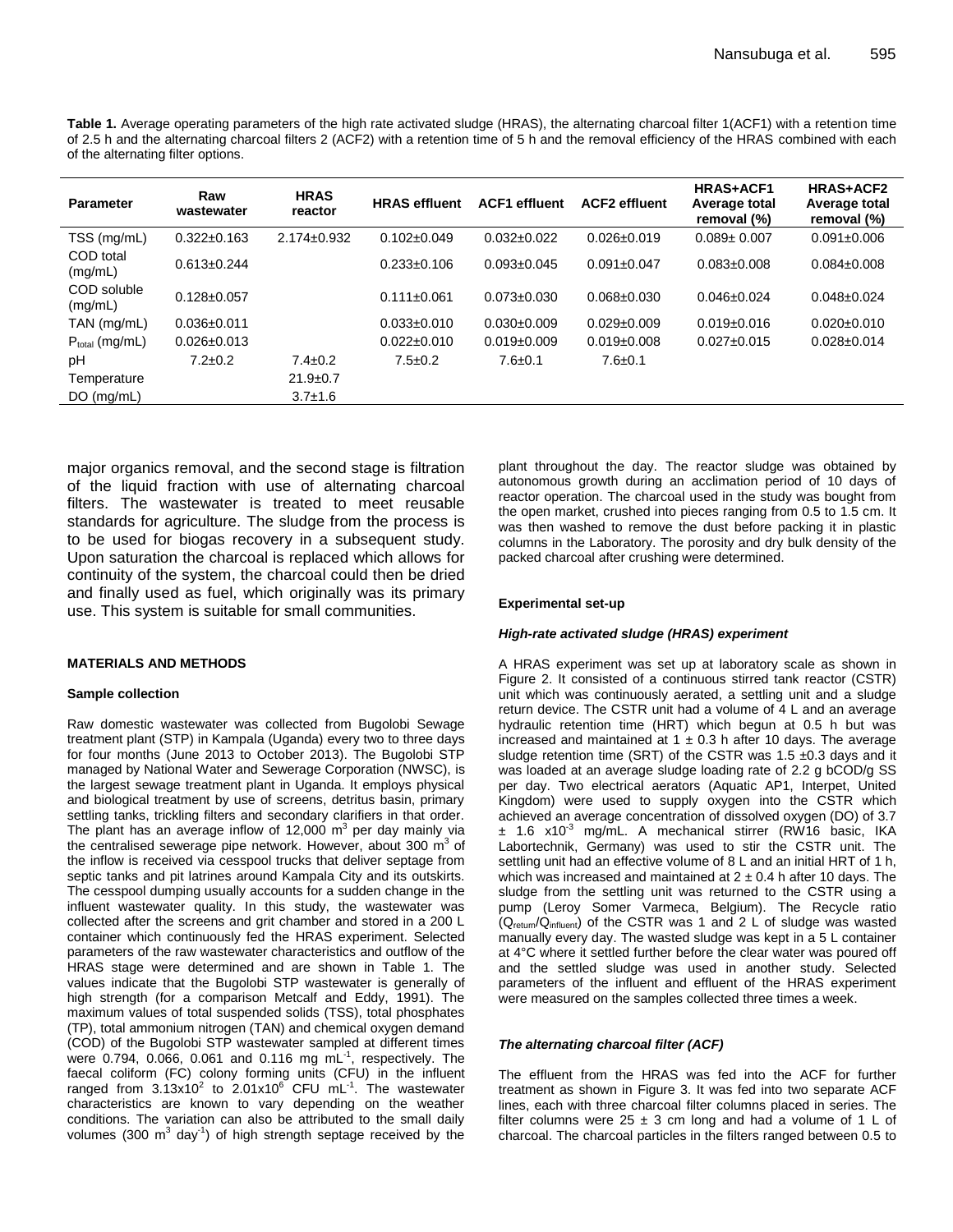**Table 1.** Average operating parameters of the high rate activated sludge (HRAS), the alternating charcoal filter 1(ACF1) with a retention time of 2.5 h and the alternating charcoal filters 2 (ACF2) with a retention time of 5 h and the removal efficiency of the HRAS combined with each of the alternating filter options.

| <b>Parameter</b>       | Raw<br>wastewater | <b>HRAS</b><br>reactor | <b>HRAS effluent</b> | <b>ACF1</b> effluent | <b>ACF2</b> effluent | <b>HRAS+ACF1</b><br>Average total<br>removal (%) | <b>HRAS+ACF2</b><br>Average total<br>removal (%) |
|------------------------|-------------------|------------------------|----------------------|----------------------|----------------------|--------------------------------------------------|--------------------------------------------------|
| TSS (mg/mL)            | $0.322 \pm 0.163$ | $2.174 \pm 0.932$      | $0.102 \pm 0.049$    | $0.032 \pm 0.022$    | $0.026 \pm 0.019$    | $0.089 \pm 0.007$                                | $0.091 \pm 0.006$                                |
| COD total<br>(mg/mL)   | $0.613 \pm 0.244$ |                        | $0.233 \pm 0.106$    | $0.093 \pm 0.045$    | $0.091 \pm 0.047$    | $0.083 \pm 0.008$                                | $0.084 \pm 0.008$                                |
| COD soluble<br>(mg/mL) | $0.128 \pm 0.057$ |                        | $0.111 \pm 0.061$    | $0.073 \pm 0.030$    | $0.068 \pm 0.030$    | $0.046 \pm 0.024$                                | $0.048 \pm 0.024$                                |
| TAN (mg/mL)            | $0.036 \pm 0.011$ |                        | $0.033 \pm 0.010$    | $0.030\pm0.009$      | $0.029 \pm 0.009$    | $0.019 \pm 0.016$                                | $0.020 \pm 0.010$                                |
| $P_{total}$ (mg/mL)    | $0.026 \pm 0.013$ |                        | $0.022 \pm 0.010$    | $0.019 \pm 0.009$    | $0.019 \pm 0.008$    | $0.027 \pm 0.015$                                | $0.028 \pm 0.014$                                |
| pH                     | $7.2 \pm 0.2$     | $7.4 \pm 0.2$          | $7.5 \pm 0.2$        | $7.6 \pm 0.1$        | $7.6 \pm 0.1$        |                                                  |                                                  |
| Temperature            |                   | $21.9 \pm 0.7$         |                      |                      |                      |                                                  |                                                  |
| DO (mg/mL)             |                   | $3.7 \pm 1.6$          |                      |                      |                      |                                                  |                                                  |

major organics removal, and the second stage is filtration of the liquid fraction with use of alternating charcoal filters. The wastewater is treated to meet reusable standards for agriculture. The sludge from the process is to be used for biogas recovery in a subsequent study. Upon saturation the charcoal is replaced which allows for continuity of the system, the charcoal could then be dried and finally used as fuel, which originally was its primary use. This system is suitable for small communities.

#### **MATERIALS AND METHODS**

#### **Sample collection**

Raw domestic wastewater was collected from Bugolobi Sewage treatment plant (STP) in Kampala (Uganda) every two to three days for four months (June 2013 to October 2013). The Bugolobi STP managed by National Water and Sewerage Corporation (NWSC), is the largest sewage treatment plant in Uganda. It employs physical and biological treatment by use of screens, detritus basin, primary settling tanks, trickling filters and secondary clarifiers in that order. The plant has an average inflow of 12,000 m<sup>3</sup> per day mainly via the centralised sewerage pipe network. However, about 300 m<sup>3</sup> of the inflow is received via cesspool trucks that deliver septage from septic tanks and pit latrines around Kampala City and its outskirts. The cesspool dumping usually accounts for a sudden change in the influent wastewater quality. In this study, the wastewater was collected after the screens and grit chamber and stored in a 200 L container which continuously fed the HRAS experiment. Selected parameters of the raw wastewater characteristics and outflow of the HRAS stage were determined and are shown in Table 1. The values indicate that the Bugolobi STP wastewater is generally of high strength (for a comparison Metcalf and Eddy, 1991). The maximum values of total suspended solids (TSS), total phosphates (TP), total ammonium nitrogen (TAN) and chemical oxygen demand (COD) of the Bugolobi STP wastewater sampled at different times were 0.794, 0.066, 0.061 and 0.116 mg mL $^{-1}$ , respectively. The faecal coliform (FC) colony forming units (CFU) in the influent ranged from  $3.13x10^2$  to  $2.01x10^6$  CFU mL<sup>-1</sup>. The wastewater characteristics are known to vary depending on the weather conditions. The variation can also be attributed to the small daily volumes (300  $\text{m}^3$  day<sup>-1</sup>) of high strength septage received by the

plant throughout the day. The reactor sludge was obtained by autonomous growth during an acclimation period of 10 days of reactor operation. The charcoal used in the study was bought from the open market, crushed into pieces ranging from 0.5 to 1.5 cm. It was then washed to remove the dust before packing it in plastic columns in the Laboratory. The porosity and dry bulk density of the packed charcoal after crushing were determined.

#### **Experimental set-up**

#### *High-rate activated sludge (HRAS) experiment*

A HRAS experiment was set up at laboratory scale as shown in Figure 2. It consisted of a continuous stirred tank reactor (CSTR) unit which was continuously aerated, a settling unit and a sludge return device. The CSTR unit had a volume of 4 L and an average hydraulic retention time (HRT) which begun at 0.5 h but was increased and maintained at  $1 \pm 0.3$  h after 10 days. The average sludge retention time (SRT) of the CSTR was 1.5  $\pm$ 0.3 days and it was loaded at an average sludge loading rate of 2.2 g bCOD/g SS per day. Two electrical aerators (Aquatic AP1, Interpet, United Kingdom) were used to supply oxygen into the CSTR which achieved an average concentration of dissolved oxygen (DO) of 3.7  $±$  1.6 x10<sup>-3</sup> mg/mL. A mechanical stirrer (RW16 basic, IKA Labortechnik, Germany) was used to stir the CSTR unit. The settling unit had an effective volume of 8 L and an initial HRT of 1 h, which was increased and maintained at  $2 \pm 0.4$  h after 10 days. The sludge from the settling unit was returned to the CSTR using a pump (Leroy Somer Varmeca, Belgium). The Recycle ratio (Qreturn/Qinfluent) of the CSTR was 1 and 2 L of sludge was wasted manually every day. The wasted sludge was kept in a 5 L container at 4°C where it settled further before the clear water was poured off and the settled sludge was used in another study. Selected parameters of the influent and effluent of the HRAS experiment were measured on the samples collected three times a week.

#### *The alternating charcoal filter (ACF)*

The effluent from the HRAS was fed into the ACF for further treatment as shown in Figure 3. It was fed into two separate ACF lines, each with three charcoal filter columns placed in series. The filter columns were  $25 \pm 3$  cm long and had a volume of 1 L of charcoal. The charcoal particles in the filters ranged between 0.5 to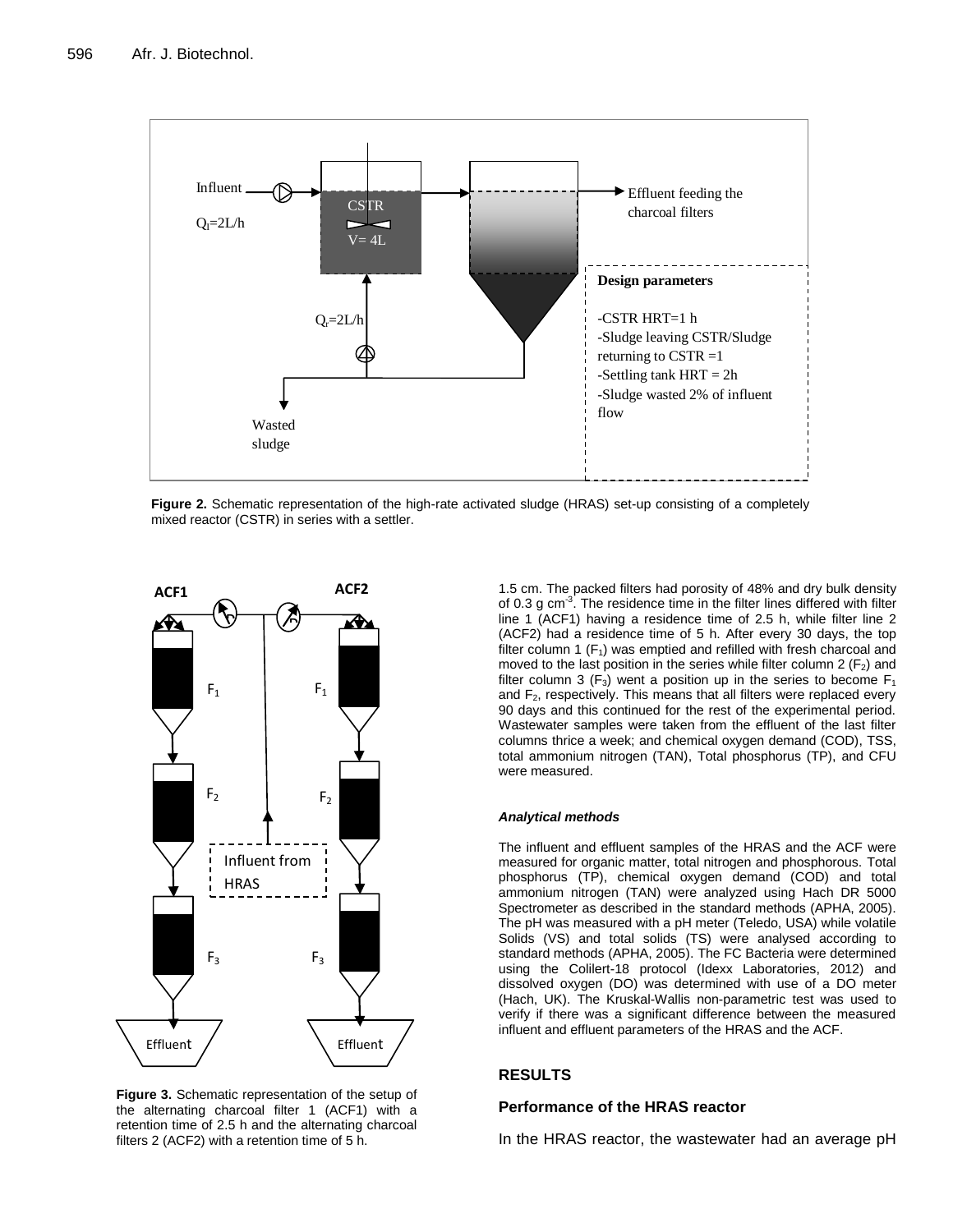

**Figure 2.** Schematic representation of the high-rate activated sludge (HRAS) set-up consisting of a completely mixed reactor (CSTR) in series with a settler.



**Figure 3.** Schematic representation of the setup of the alternating charcoal filter 1 (ACF1) with a retention time of 2.5 h and the alternating charcoal filters 2 (ACF2) with a retention time of 5 h.

1.5 cm. The packed filters had porosity of 48% and dry bulk density of 0.3 g cm<sup>-3</sup>. The residence time in the filter lines differed with filter line 1 (ACF1) having a residence time of 2.5 h, while filter line 2 (ACF2) had a residence time of 5 h. After every 30 days, the top filter column 1  $(F_1)$  was emptied and refilled with fresh charcoal and moved to the last position in the series while filter column 2  $(F<sub>2</sub>)$  and filter column 3 ( $F_3$ ) went a position up in the series to become  $F_1$ and  $F_2$ , respectively. This means that all filters were replaced every 90 days and this continued for the rest of the experimental period. Wastewater samples were taken from the effluent of the last filter columns thrice a week; and chemical oxygen demand (COD), TSS, total ammonium nitrogen (TAN), Total phosphorus (TP), and CFU were measured.

#### *Analytical methods*

The influent and effluent samples of the HRAS and the ACF were measured for organic matter, total nitrogen and phosphorous. Total phosphorus (TP), chemical oxygen demand (COD) and total ammonium nitrogen (TAN) were analyzed using Hach DR 5000 Spectrometer as described in the standard methods (APHA, 2005). The pH was measured with a pH meter (Teledo, USA) while volatile Solids (VS) and total solids (TS) were analysed according to standard methods (APHA, 2005). The FC Bacteria were determined using the Colilert-18 protocol (Idexx Laboratories, 2012) and dissolved oxygen (DO) was determined with use of a DO meter (Hach, UK). The Kruskal-Wallis non-parametric test was used to verify if there was a significant difference between the measured influent and effluent parameters of the HRAS and the ACF.

### **RESULTS**

#### **Performance of the HRAS reactor**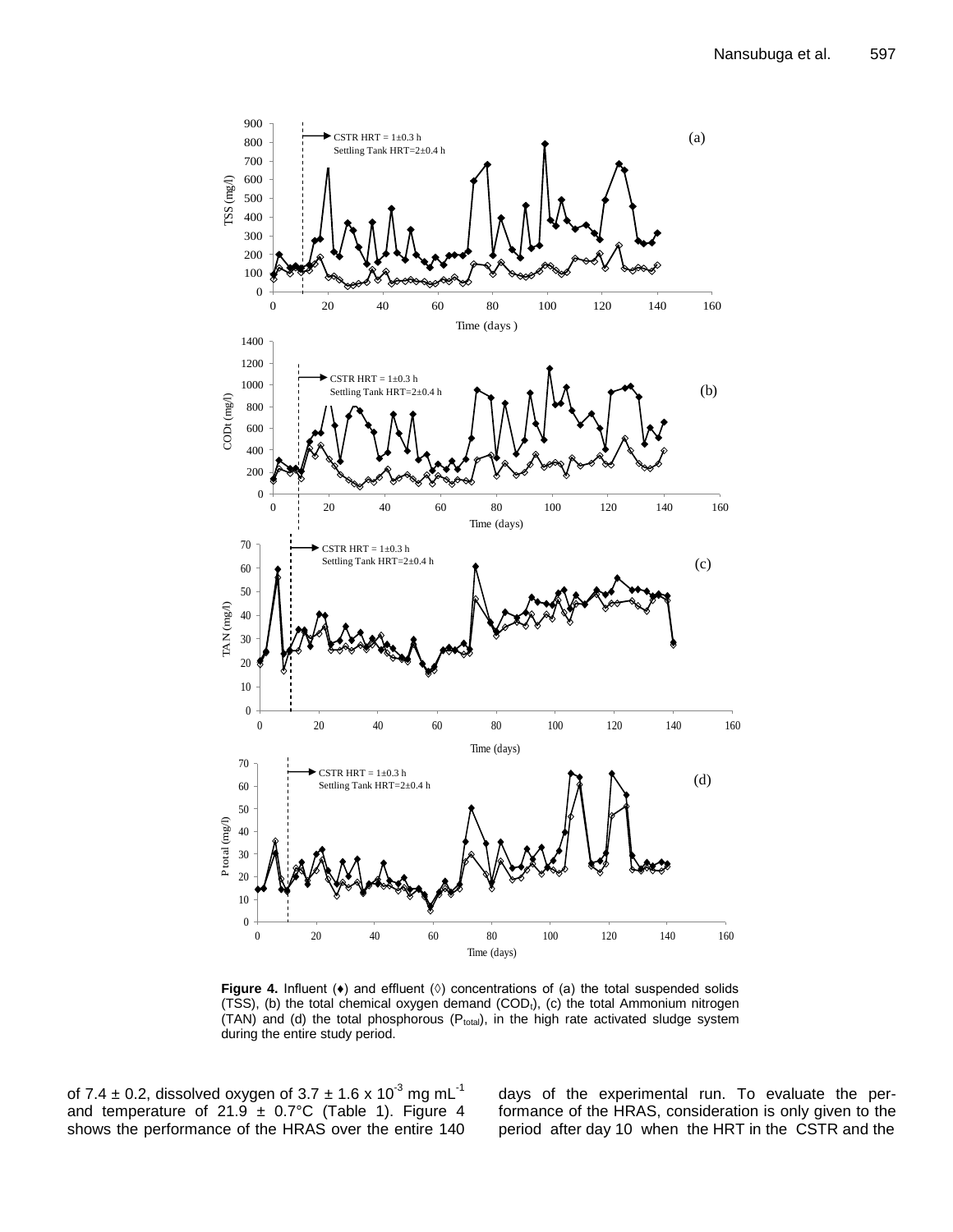

**Figure 4.** Influent ( $\bullet$ ) and effluent ( $\lozenge$ ) concentrations of (a) the total suspended solids (TSS), (b) the total chemical oxygen demand  $(COD<sub>t</sub>)$ , (c) the total Ammonium nitrogen  $(TAN)$  and (d) the total phosphorous ( $P_{total}$ ), in the high rate activated sludge system during the entire study period.

of 7.4  $\pm$  0.2, dissolved oxygen of 3.7  $\pm$  1.6 x 10<sup>-3</sup> mg mL<sup>-1</sup> and temperature of 21.9  $\pm$  0.7°C (Table 1). Figure 4 shows the performance of the HRAS over the entire 140

days of the experimental run. To evaluate the performance of the HRAS, consideration is only given to the period after day 10 when the HRT in the CSTR and the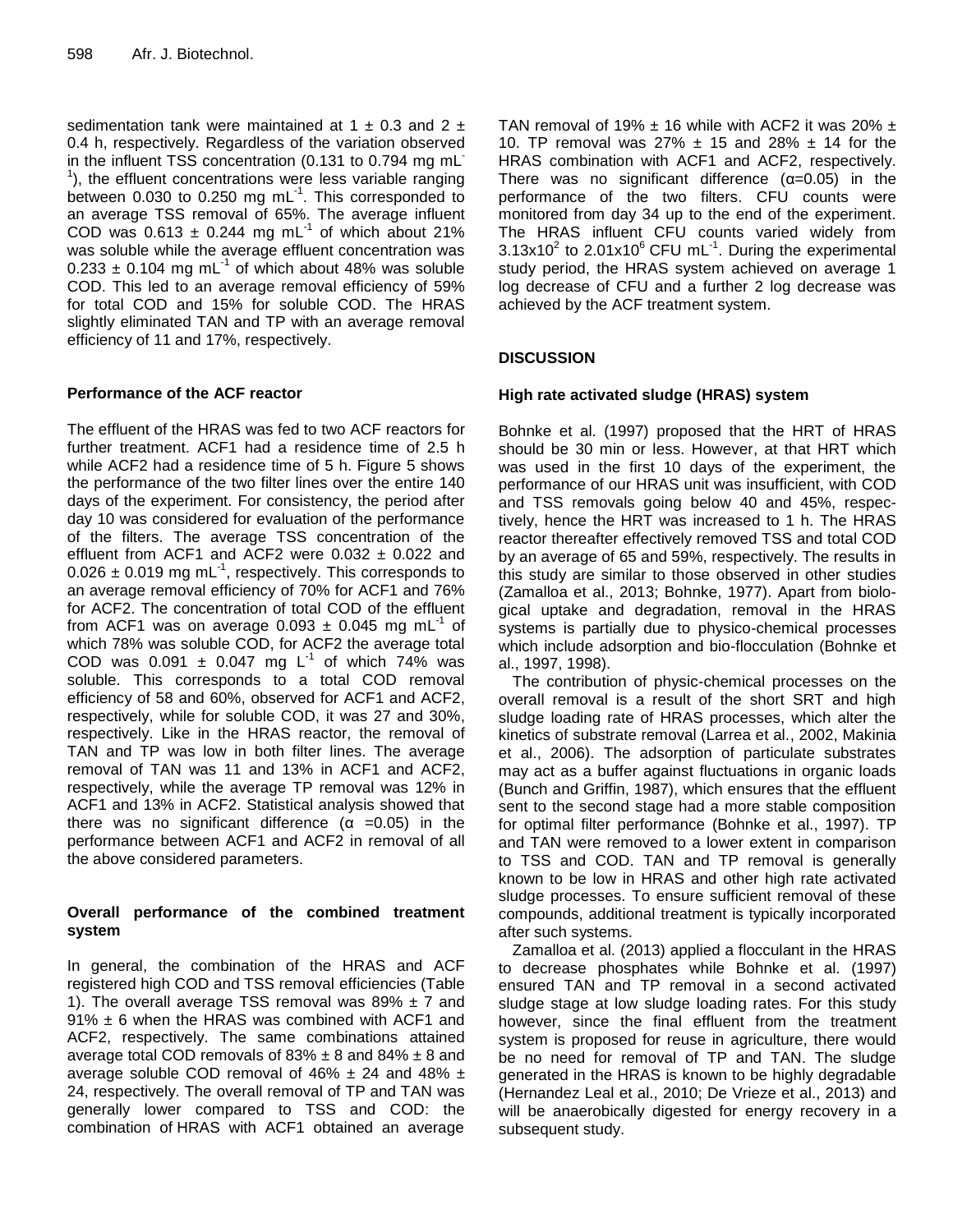sedimentation tank were maintained at 1  $\pm$  0.3 and 2  $\pm$ 0.4 h, respectively. Regardless of the variation observed in the influent TSS concentration (0.131 to 0.794 mg mL <sup>1</sup>), the effluent concentrations were less variable ranging between 0.030 to 0.250 mg mL $^{-1}$ . This corresponded to an average TSS removal of 65%. The average influent COD was  $0.613 \pm 0.244$  mg mL<sup>-1</sup> of which about 21% was soluble while the average effluent concentration was  $0.233 \pm 0.104$  mg mL<sup>-1</sup> of which about 48% was soluble COD. This led to an average removal efficiency of 59% for total COD and 15% for soluble COD. The HRAS slightly eliminated TAN and TP with an average removal efficiency of 11 and 17%, respectively.

# **Performance of the ACF reactor**

The effluent of the HRAS was fed to two ACF reactors for further treatment. ACF1 had a residence time of 2.5 h while ACF2 had a residence time of 5 h. Figure 5 shows the performance of the two filter lines over the entire 140 days of the experiment. For consistency, the period after day 10 was considered for evaluation of the performance of the filters. The average TSS concentration of the effluent from ACF1 and ACF2 were  $0.032 \pm 0.022$  and 0.026  $\pm$  0.019 mg mL<sup>-1</sup>, respectively. This corresponds to an average removal efficiency of 70% for ACF1 and 76% for ACF2. The concentration of total COD of the effluent from ACF1 was on average 0.093  $\pm$  0.045 mg mL<sup>-1</sup> of which 78% was soluble COD, for ACF2 the average total COD was 0.091  $\pm$  0.047 mg L<sup>-1</sup> of which 74% was soluble. This corresponds to a total COD removal efficiency of 58 and 60%, observed for ACF1 and ACF2, respectively, while for soluble COD, it was 27 and 30%, respectively. Like in the HRAS reactor, the removal of TAN and TP was low in both filter lines. The average removal of TAN was 11 and 13% in ACF1 and ACF2, respectively, while the average TP removal was 12% in ACF1 and 13% in ACF2. Statistical analysis showed that there was no significant difference  $(\alpha = 0.05)$  in the performance between ACF1 and ACF2 in removal of all the above considered parameters.

## **Overall performance of the combined treatment system**

In general, the combination of the HRAS and ACF registered high COD and TSS removal efficiencies (Table 1). The overall average TSS removal was  $89\% \pm 7$  and  $91\% \pm 6$  when the HRAS was combined with ACF1 and ACF2, respectively. The same combinations attained average total COD removals of  $83\% \pm 8$  and  $84\% \pm 8$  and average soluble COD removal of  $46\% \pm 24$  and  $48\% \pm 24$ 24, respectively. The overall removal of TP and TAN was generally lower compared to TSS and COD: the combination of HRAS with ACF1 obtained an average

TAN removal of 19%  $\pm$  16 while with ACF2 it was 20%  $\pm$ 10. TP removal was  $27\% \pm 15$  and  $28\% \pm 14$  for the HRAS combination with ACF1 and ACF2, respectively. There was no significant difference  $(\alpha=0.05)$  in the performance of the two filters. CFU counts were monitored from day 34 up to the end of the experiment. The HRAS influent CFU counts varied widely from  $3.13x10^2$  to  $2.01x10^6$  CFU mL<sup>-1</sup>. During the experimental study period, the HRAS system achieved on average 1 log decrease of CFU and a further 2 log decrease was achieved by the ACF treatment system.

# **DISCUSSION**

# **High rate activated sludge (HRAS) system**

Bohnke et al. (1997) proposed that the HRT of HRAS should be 30 min or less. However, at that HRT which was used in the first 10 days of the experiment, the performance of our HRAS unit was insufficient, with COD and TSS removals going below 40 and 45%, respectively, hence the HRT was increased to 1 h. The HRAS reactor thereafter effectively removed TSS and total COD by an average of 65 and 59%, respectively. The results in this study are similar to those observed in other studies (Zamalloa et al., 2013; Bohnke, 1977). Apart from biological uptake and degradation, removal in the HRAS systems is partially due to physico-chemical processes which include adsorption and bio-flocculation (Bohnke et al., 1997, 1998).

The contribution of physic-chemical processes on the overall removal is a result of the short SRT and high sludge loading rate of HRAS processes, which alter the kinetics of substrate removal (Larrea et al., 2002, Makinia et al., 2006). The adsorption of particulate substrates may act as a buffer against fluctuations in organic loads (Bunch and Griffin, 1987), which ensures that the effluent sent to the second stage had a more stable composition for optimal filter performance (Bohnke et al., 1997). TP and TAN were removed to a lower extent in comparison to TSS and COD. TAN and TP removal is generally known to be low in HRAS and other high rate activated sludge processes. To ensure sufficient removal of these compounds, additional treatment is typically incorporated after such systems.

Zamalloa et al. (2013) applied a flocculant in the HRAS to decrease phosphates while Bohnke et al. (1997) ensured TAN and TP removal in a second activated sludge stage at low sludge loading rates. For this study however, since the final effluent from the treatment system is proposed for reuse in agriculture, there would be no need for removal of TP and TAN. The sludge generated in the HRAS is known to be highly degradable (Hernandez Leal et al., 2010; De Vrieze et al., 2013) and will be anaerobically digested for energy recovery in a subsequent study.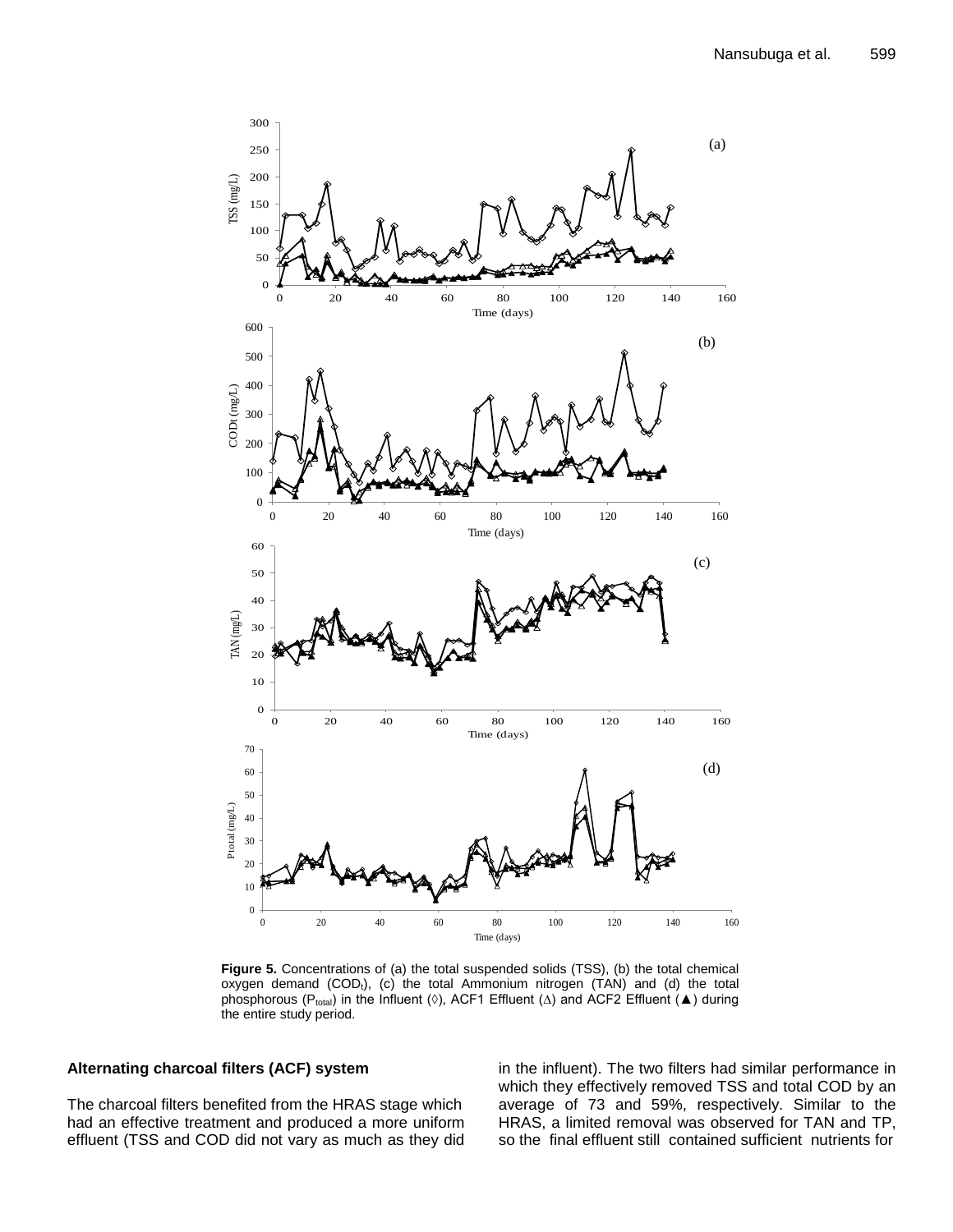

**Figure 5.** Concentrations of (a) the total suspended solids (TSS), (b) the total chemical oxygen demand  $(COD_t)$ ,  $(c)$  the total Ammonium nitrogen  $(TAN)$  and  $(d)$  the total phosphorous (P<sub>total</sub>) in the Influent (◊), ACF1 Effluent (△) and ACF2 Effluent (▲) during the entire study period.

# **Alternating charcoal filters (ACF) system**

The charcoal filters benefited from the HRAS stage which had an effective treatment and produced a more uniform effluent (TSS and COD did not vary as much as they did in the influent). The two filters had similar performance in which they effectively removed TSS and total COD by an average of 73 and 59%, respectively. Similar to the HRAS, a limited removal was observed for TAN and TP, so the final effluent still contained sufficient nutrients for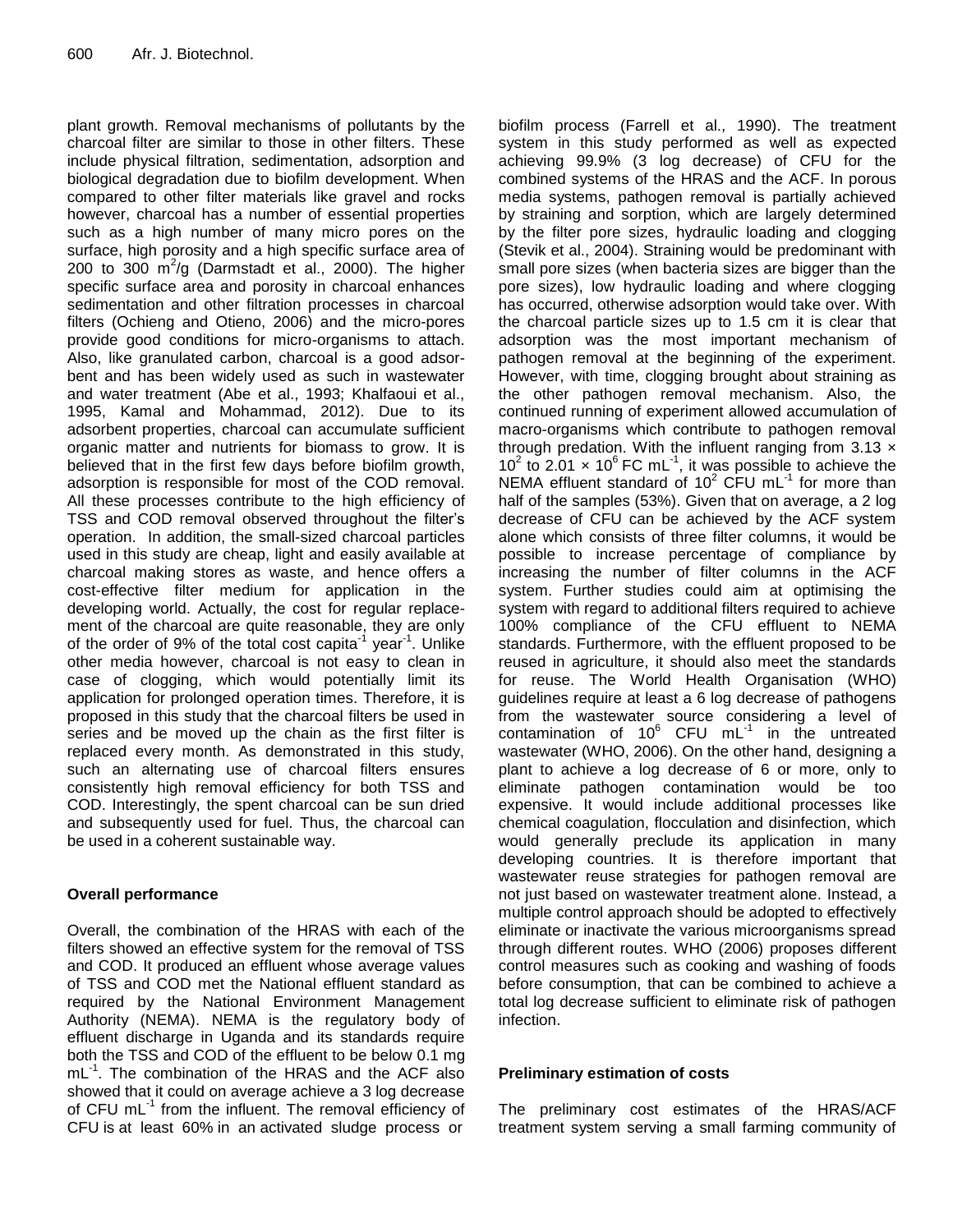plant growth. Removal mechanisms of pollutants by the charcoal filter are similar to those in other filters. These include physical filtration, sedimentation, adsorption and biological degradation due to biofilm development. When compared to other filter materials like gravel and rocks however, charcoal has a number of essential properties such as a high number of many micro pores on the surface, high porosity and a high specific surface area of 200 to 300  $\mathrm{m}^2/\mathrm{g}$  (Darmstadt et al., 2000). The higher specific surface area and porosity in charcoal enhances sedimentation and other filtration processes in charcoal filters (Ochieng and Otieno, 2006) and the micro-pores provide good conditions for micro-organisms to attach. Also, like granulated carbon, charcoal is a good adsorbent and has been widely used as such in wastewater and water treatment (Abe et al., 1993; Khalfaoui et al., 1995, Kamal and Mohammad, 2012). Due to its adsorbent properties, charcoal can accumulate sufficient organic matter and nutrients for biomass to grow. It is believed that in the first few days before biofilm growth, adsorption is responsible for most of the COD removal. All these processes contribute to the high efficiency of TSS and COD removal observed throughout the filter's operation. In addition, the small-sized charcoal particles used in this study are cheap, light and easily available at charcoal making stores as waste, and hence offers a cost-effective filter medium for application in the developing world. Actually, the cost for regular replacement of the charcoal are quite reasonable, they are only of the order of 9% of the total cost capita<sup>-1</sup> year<sup>-1</sup>. Unlike other media however, charcoal is not easy to clean in case of clogging, which would potentially limit its application for prolonged operation times. Therefore, it is proposed in this study that the charcoal filters be used in series and be moved up the chain as the first filter is replaced every month. As demonstrated in this study, such an alternating use of charcoal filters ensures consistently high removal efficiency for both TSS and COD. Interestingly, the spent charcoal can be sun dried and subsequently used for fuel. Thus, the charcoal can be used in a coherent sustainable way.

# **Overall performance**

Overall, the combination of the HRAS with each of the filters showed an effective system for the removal of TSS and COD. It produced an effluent whose average values of TSS and COD met the National effluent standard as required by the National Environment Management Authority (NEMA). NEMA is the regulatory body of effluent discharge in Uganda and its standards require both the TSS and COD of the effluent to be below 0.1 mg mL<sup>-1</sup>. The combination of the HRAS and the ACF also showed that it could on average achieve a 3 log decrease of CFU mL<sup>-1</sup> from the influent. The removal efficiency of CFU is at least 60% in an activated sludge process or

biofilm process (Farrell et al., 1990). The treatment system in this study performed as well as expected achieving 99.9% (3 log decrease) of CFU for the combined systems of the HRAS and the ACF. In porous media systems, pathogen removal is partially achieved by straining and sorption, which are largely determined by the filter pore sizes, hydraulic loading and clogging (Stevik et al., 2004). Straining would be predominant with small pore sizes (when bacteria sizes are bigger than the pore sizes), low hydraulic loading and where clogging has occurred, otherwise adsorption would take over. With the charcoal particle sizes up to 1.5 cm it is clear that adsorption was the most important mechanism of pathogen removal at the beginning of the experiment. However, with time, clogging brought about straining as the other pathogen removal mechanism. Also, the continued running of experiment allowed accumulation of macro-organisms which contribute to pathogen removal through predation. With the influent ranging from 3.13  $\times$ 10<sup>2</sup> to 2.01  $\times$  10<sup>6</sup> FC mL<sup>-1</sup>, it was possible to achieve the NEMA effluent standard of 10<sup>2</sup> CFU mL<sup>1</sup> for more than half of the samples (53%). Given that on average, a 2 log decrease of CFU can be achieved by the ACF system alone which consists of three filter columns, it would be possible to increase percentage of compliance by increasing the number of filter columns in the ACF system. Further studies could aim at optimising the system with regard to additional filters required to achieve 100% compliance of the CFU effluent to NEMA standards. Furthermore, with the effluent proposed to be reused in agriculture, it should also meet the standards for reuse. The World Health Organisation (WHO) guidelines require at least a 6 log decrease of pathogens from the wastewater source considering a level of contamination of  $10^6$  CFU mL $^{-1}$  in the untreated wastewater (WHO, 2006). On the other hand, designing a plant to achieve a log decrease of 6 or more, only to eliminate pathogen contamination would be too expensive. It would include additional processes like chemical coagulation, flocculation and disinfection, which would generally preclude its application in many developing countries. It is therefore important that wastewater reuse strategies for pathogen removal are not just based on wastewater treatment alone. Instead, a multiple control approach should be adopted to effectively eliminate or inactivate the various microorganisms spread through different routes. WHO (2006) proposes different control measures such as cooking and washing of foods before consumption, that can be combined to achieve a total log decrease sufficient to eliminate risk of pathogen infection.

# **Preliminary estimation of costs**

The preliminary cost estimates of the HRAS/ACF treatment system serving a small farming community of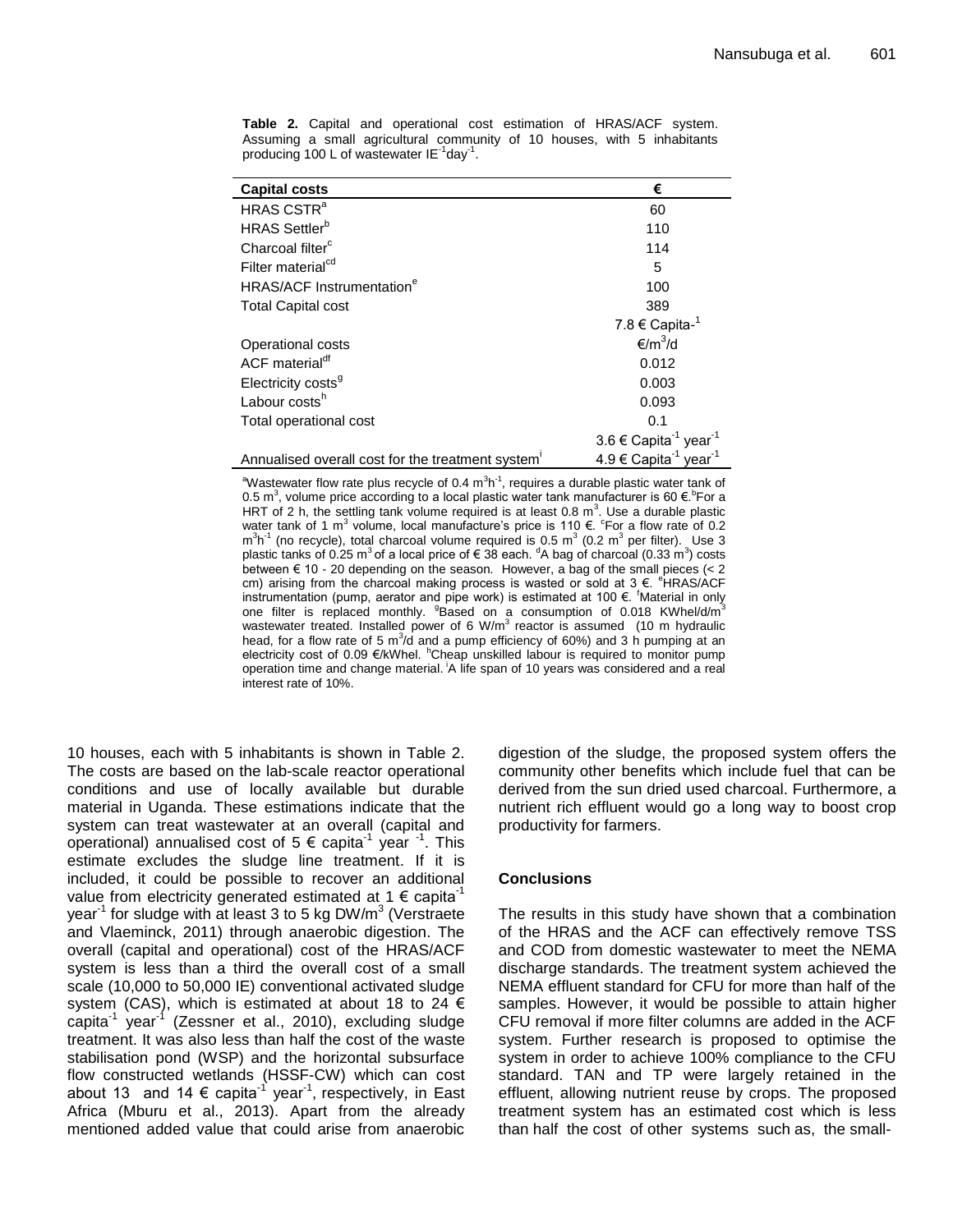| <b>Capital costs</b>                             | €                                                 |  |  |
|--------------------------------------------------|---------------------------------------------------|--|--|
| HRAS CSTR <sup>a</sup>                           | 60                                                |  |  |
| HRAS Settler <sup>b</sup>                        | 110                                               |  |  |
| Charcoal filter <sup>c</sup>                     | 114                                               |  |  |
| Filter material <sup>cd</sup>                    | 5                                                 |  |  |
| HRAS/ACF Instrumentation <sup>e</sup>            | 100                                               |  |  |
| <b>Total Capital cost</b>                        | 389                                               |  |  |
|                                                  | 7.8 $\in$ Capita- <sup>1</sup>                    |  |  |
| Operational costs                                | €/m <sup>3</sup> /d                               |  |  |
| ACF material <sup>df</sup>                       | 0.012                                             |  |  |
| Electricity costs <sup>9</sup>                   | 0.003                                             |  |  |
| Labour costs <sup>h</sup>                        | 0.093                                             |  |  |
| Total operational cost                           | 0.1                                               |  |  |
|                                                  | $3.6 \in$ Capita <sup>-1</sup> year <sup>-1</sup> |  |  |
| Annualised overall cost for the treatment system | 4.9 € Capita <sup>-1</sup> year <sup>-1</sup>     |  |  |

**Table 2.** Capital and operational cost estimation of HRAS/ACF system. Assuming a small agricultural community of 10 houses, with 5 inhabitants producing 100 L of wastewater IE<sup>-1</sup>day<sup>-1</sup>.

<sup>a</sup>Wastewater flow rate plus recycle of 0.4  $m^3h^{-1}$ , requires a durable plastic water tank of 0.5 m<sup>3</sup>, volume price according to a local plastic water tank manufacturer is 60  $\in$  <sup>b</sup>For a HRT of 2 h, the settling tank volume required is at least 0.8  $m<sup>3</sup>$ . Use a durable plastic water tank of 1 m<sup>3</sup> volume, local manufacture's price is 110  $\epsilon$ . For a flow rate of 0.2  $m^3h^1$  (no recycle), total charcoal volume required is 0.5  $m^3$  (0.2  $m^3$  per filter). Use 3 plastic tanks of 0.25 m<sup>3</sup> of a local price of  $\epsilon$  38 each. <sup>d</sup>A bag of charcoal (0.33 m<sup>3</sup>) costs between  $\epsilon$  10 - 20 depending on the season. However, a bag of the small pieces (< 2 cm) arising from the charcoal making process is wasted or sold at  $3 \in \text{HRAS/ACF}$ instrumentation (pump, aerator and pipe work) is estimated at 100  $\epsilon$ . Material in only one filter is replaced monthly. <sup>9</sup>Based on a consumption of 0.018 KWhel/d/m<sup>3</sup> wastewater treated. Installed power of 6 W/m<sup>3</sup> reactor is assumed (10 m hydraulic head, for a flow rate of 5 m<sup>3</sup>/d and a pump efficiency of 60%) and 3 h pumping at an electricity cost of 0.09 €/kWhel. <sup>h</sup>Cheap unskilled labour is required to monitor pump operation time and change material. <sup>i</sup>A life span of 10 years was considered and a real interest rate of 10%.

10 houses, each with 5 inhabitants is shown in Table 2. The costs are based on the lab-scale reactor operational conditions and use of locally available but durable material in Uganda. These estimations indicate that the system can treat wastewater at an overall (capital and operational) annualised cost of  $5 \in \text{capita}^1$  year  $^{-1}$ . This estimate excludes the sludge line treatment. If it is included, it could be possible to recover an additional value from electricity generated estimated at  $1 \in \text{capita}^{-1}$ year<sup>-1</sup> for sludge with at least 3 to 5 kg DW/m<sup>3</sup> (Verstraete and Vlaeminck, 2011) through anaerobic digestion. The overall (capital and operational) cost of the HRAS/ACF system is less than a third the overall cost of a small scale (10,000 to 50,000 IE) conventional activated sludge system (CAS), which is estimated at about 18 to 24  $\epsilon$ capita<sup>-1</sup> year<sup>-1</sup> (Zessner et al., 2010), excluding sludge treatment. It was also less than half the cost of the waste stabilisation pond (WSP) and the horizontal subsurface flow constructed wetlands (HSSF-CW) which can cost about 13 and 14  $\epsilon$  capita<sup>-1</sup> year<sup>-1</sup>, respectively, in East Africa (Mburu et al., 2013). Apart from the already mentioned added value that could arise from anaerobic

digestion of the sludge, the proposed system offers the community other benefits which include fuel that can be derived from the sun dried used charcoal. Furthermore, a nutrient rich effluent would go a long way to boost crop productivity for farmers.

#### **Conclusions**

The results in this study have shown that a combination of the HRAS and the ACF can effectively remove TSS and COD from domestic wastewater to meet the NEMA discharge standards. The treatment system achieved the NEMA effluent standard for CFU for more than half of the samples. However, it would be possible to attain higher CFU removal if more filter columns are added in the ACF system. Further research is proposed to optimise the system in order to achieve 100% compliance to the CFU standard. TAN and TP were largely retained in the effluent, allowing nutrient reuse by crops. The proposed treatment system has an estimated cost which is less than half the cost of other systems such as, the small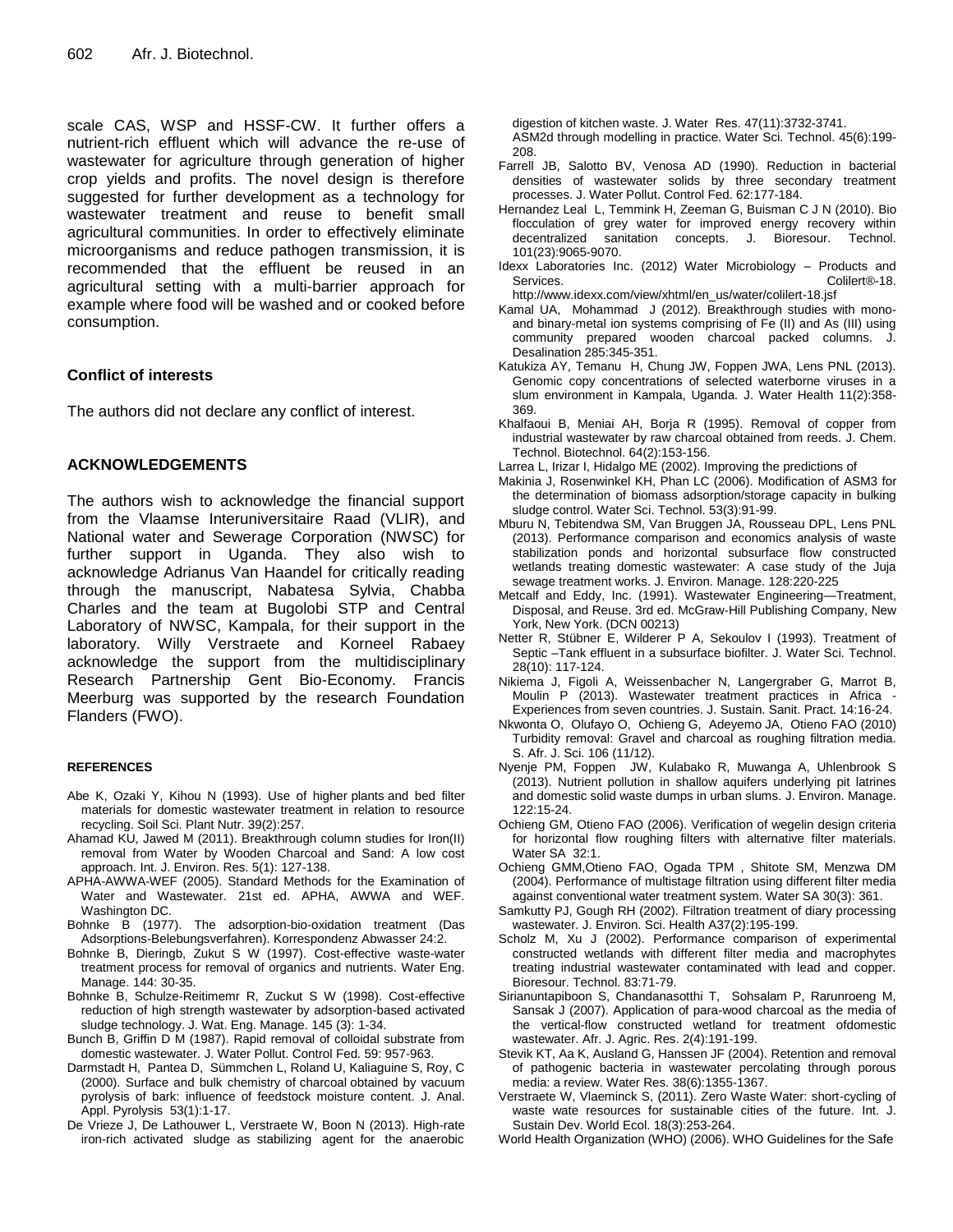scale CAS, WSP and HSSF-CW. It further offers a nutrient-rich effluent which will advance the re-use of wastewater for agriculture through generation of higher crop yields and profits. The novel design is therefore suggested for further development as a technology for wastewater treatment and reuse to benefit small agricultural communities. In order to effectively eliminate microorganisms and reduce pathogen transmission, it is recommended that the effluent be reused in an agricultural setting with a multi-barrier approach for example where food will be washed and or cooked before consumption.

### **Conflict of interests**

The authors did not declare any conflict of interest.

### **ACKNOWLEDGEMENTS**

The authors wish to acknowledge the financial support from the Vlaamse Interuniversitaire Raad (VLIR), and National water and Sewerage Corporation (NWSC) for further support in Uganda. They also wish to acknowledge Adrianus Van Haandel for critically reading through the manuscript, Nabatesa Sylvia, Chabba Charles and the team at Bugolobi STP and Central Laboratory of NWSC, Kampala, for their support in the laboratory. Willy Verstraete and Korneel Rabaey acknowledge the support from the multidisciplinary Research Partnership Gent Bio-Economy. Francis Meerburg was supported by the research Foundation Flanders (FWO).

#### **REFERENCES**

- Abe K, Ozaki Y, Kihou N (1993). Use of higher plants and bed filter materials for domestic wastewater treatment in relation to resource recycling. Soil Sci. Plant Nutr. 39(2):257.
- Ahamad KU, Jawed M (2011). Breakthrough column studies for Iron(II) removal from Water by Wooden Charcoal and Sand: A low cost approach. Int. J. Environ. Res. 5(1): 127-138.
- APHA-AWWA-WEF (2005). Standard Methods for the Examination of Water and Wastewater. 21st ed. APHA, AWWA and WEF. Washington DC.
- Bohnke B (1977). The adsorption-bio-oxidation treatment (Das Adsorptions-Belebungsverfahren). Korrespondenz Abwasser 24:2.
- Bohnke B, Dieringb, Zukut S W (1997). Cost-effective waste-water treatment process for removal of organics and nutrients. Water Eng. Manage. 144: 30-35.
- Bohnke B, Schulze-Reitimemr R, Zuckut S W (1998). Cost-effective reduction of high strength wastewater by adsorption-based activated sludge technology. J. Wat. Eng. Manage. 145 (3): 1-34.
- Bunch B, Griffin D M (1987). Rapid removal of colloidal substrate from domestic wastewater. J. Water Pollut. Control Fed. 59: 957-963.
- Darmstadt H, Pantea D, Sümmchen L, Roland U, Kaliaguine S, Roy, C (2000). Surface and bulk chemistry of charcoal obtained by vacuum pyrolysis of bark: influence of feedstock moisture content. J. Anal. Appl. Pyrolysis [53\(1\)](http://www.sciencedirect.com/science?_ob=PublicationURL&_hubEid=1-s2.0-S0165237000X00368&_cid=271391&_pubType=JL&view=c&_auth=y&_acct=C000043466&_version=1&_urlVersion=0&_userid=794998&md5=0c267383441523164f3d6a54216a9ca3):1-17.
- De Vrieze J, De Lathouwer L, Verstraete W, Boon N (2013). High-rate iron-rich activated sludge as stabilizing agent for the anaerobic

digestion of kitchen waste. J. Water Res. 47(11):3732-3741.

ASM2d through modelling in practice. Water Sci. Technol. 45(6):199- 208.

- Farrell JB, Salotto BV, Venosa AD (1990). Reduction in bacterial densities of wastewater solids by three secondary treatment processes. J. Water Pollut. Control Fed. 62:177-184.
- Hernandez Leal L, Temmink H, Zeeman G, Buisman C J N (2010). Bio flocculation of grey water for improved energy recovery within decentralized sanitation concepts. J. Bioresour. Technol. 101(23):9065-9070.
- Idexx Laboratories Inc. (2012) Water Microbiology Products and Services. Collection Collection Collection Collection Collection Collection Collection Collection Collection Collection Collection Collection Collection Collection Collection Collection Collection Collection Collection Col
- http://www.idexx.com/view/xhtml/en\_us/water/colilert-18.jsf Kamal UA, Mohammad J (2012). Breakthrough studies with monoand binary-metal ion systems comprising of Fe (II) and As (III) using community prepared wooden charcoal packed columns. J.
- Desalination 285:345-351. Katukiza AY, Temanu H, Chung JW, Foppen JWA, Lens PNL (2013). Genomic copy concentrations of selected waterborne viruses in a slum environment in Kampala, Uganda. J. Water Health 11(2):358- 369.
- Khalfaoui B, Meniai AH, Borja R (1995). Removal of copper from industrial wastewater by raw charcoal obtained from reeds. J. Chem. Technol. Biotechnol. 64(2):153-156.
- Larrea L, Irizar I, Hidalgo ME (2002). Improving the predictions of
- Makinia J, Rosenwinkel KH, Phan LC (2006). Modification of ASM3 for the determination of biomass adsorption/storage capacity in bulking sludge control. Water Sci. Technol. 53(3):91-99.
- Mburu N, Tebitendwa SM, Van Bruggen JA, Rousseau DPL, Lens PNL (2013). Performance comparison and economics analysis of waste stabilization ponds and horizontal subsurface flow constructed wetlands treating domestic wastewater: A case study of the Juja sewage treatment works. J. Environ. Manage. 128:220-225
- Metcalf and Eddy, Inc. (1991). Wastewater Engineering—Treatment, Disposal, and Reuse. 3rd ed. McGraw-Hill Publishing Company, New York, New York. (DCN 00213)
- Netter R, Stübner E, Wilderer P A, Sekoulov I (1993). Treatment of Septic –Tank effluent in a subsurface biofilter. J. Water Sci. Technol. 28(10): 117-124.
- Nikiema J, Figoli A, Weissenbacher N, Langergraber G, Marrot B, Moulin P (2013). Wastewater treatment practices in Africa - Experiences from seven countries. J. Sustain. Sanit. Pract. 14:16-24.
- Nkwonta O, Olufayo O, Ochieng G, Adeyemo JA, Otieno FAO (2010) Turbidity removal: Gravel and charcoal as roughing filtration media. S. Afr. J. Sci. 106 (11/12).
- Nyenje PM, Foppen JW, Kulabako R, Muwanga A, Uhlenbrook S (2013). Nutrient pollution in shallow aquifers underlying pit latrines and domestic solid waste dumps in urban slums. J. Environ. Manage. 122:15-24.
- Ochieng GM, Otieno FAO (2006). Verification of wegelin design criteria for horizontal flow roughing filters with alternative filter materials. Water SA 32:1.
- Ochieng GMM,Otieno FAO, Ogada TPM , Shitote SM, Menzwa DM (2004). Performance of multistage filtration using different filter media against conventional water treatment system. Water SA 30(3): 361.
- Samkutty PJ, Gough RH (2002). Filtration treatment of diary processing wastewater. J. Environ. Sci. Health A37(2):195-199.
- Scholz M, Xu J (2002). Performance comparison of experimental constructed wetlands with different filter media and macrophytes treating industrial wastewater contaminated with lead and copper. Bioresour. Technol. 83:71-79.
- Sirianuntapiboon S, Chandanasotthi T, Sohsalam P, Rarunroeng M, Sansak J (2007). Application of para-wood charcoal as the media of the vertical-flow constructed wetland for treatment ofdomestic wastewater. Afr. J. Agric. Res. 2(4):191-199.
- Stevik KT, Aa K, Ausland G, Hanssen JF (2004). Retention and removal of pathogenic bacteria in wastewater percolating through porous media: a review. Water Res. 38(6):1355-1367.
- Verstraete W, Vlaeminck S, (2011). Zero Waste Water: short-cycling of waste wate resources for sustainable cities of the future. Int. J. Sustain Dev. World Ecol. 18(3):253-264.
- World Health Organization (WHO) (2006). WHO Guidelines for the Safe